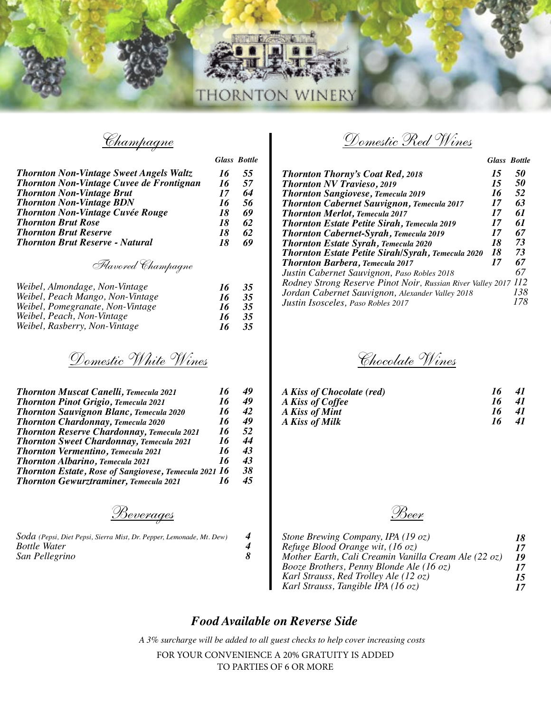

|                                                 |    | <b>Glass Bottle</b> |
|-------------------------------------------------|----|---------------------|
| <b>Thornton Non-Vintage Sweet Angels Waltz</b>  | 16 | 55                  |
| <b>Thornton Non-Vintage Cuvee de Frontignan</b> | 16 | 57                  |
| <b>Thornton Non-Vintage Brut</b>                | 17 | 64                  |
| <b>Thornton Non-Vintage BDN</b>                 | 16 | 56                  |
| <b>Thornton Non-Vintage Cuvée Rouge</b>         | 18 | 69                  |
| <b>Thornton Brut Rose</b>                       | 18 | 62                  |
| <b>Thornton Brut Reserve</b>                    | 18 | 62                  |
| <b>Thornton Brut Reserve - Natural</b>          | 18 | 69                  |

#### *Flavored Champagne*

| Weibel, Almondage, Non-Vintage   | -16  | 35 |
|----------------------------------|------|----|
| Weibel, Peach Mango, Non-Vintage | 76   | 35 |
| Weibel, Pomegranate, Non-Vintage | 76   | 35 |
| Weibel, Peach, Non-Vintage       | - 16 | 35 |
| Weibel, Rasberry, Non-Vintage    | - 16 | 35 |

*Domestic White Wines*

| <b>Thornton Muscat Canelli, Temecula 2021</b>                | 16 | 49 |
|--------------------------------------------------------------|----|----|
| <b>Thornton Pinot Grigio, Temecula 2021</b>                  | 16 | 49 |
| <b>Thornton Sauvignon Blanc, Temecula 2020</b>               | 16 | 42 |
| <b>Thornton Chardonnay, Temecula 2020</b>                    | 16 | 49 |
| <b>Thornton Reserve Chardonnay, Temecula 2021</b>            | 16 | 52 |
| <b>Thornton Sweet Chardonnay, Temecula 2021</b>              | 16 | 44 |
| <b>Thornton Vermentino, Temecula 2021</b>                    | 16 | 43 |
| <b>Thornton Albarino, Temecula 2021</b>                      | 16 | 43 |
| <b>Thornton Estate, Rose of Sangiovese, Temecula 2021 16</b> |    | 38 |
| <b>Thornton Gewurztraminer, Temecula 2021</b>                | 16 | 45 |
|                                                              |    |    |

*Beverages Beer*

| Soda (Pepsi, Diet Pepsi, Sierra Mist, Dr. Pepper, Lemonade, Mt. Dew) |  |
|----------------------------------------------------------------------|--|
| <i>Bottle Water</i>                                                  |  |
| San Pellegrino                                                       |  |

*Champagne Domestic Red Wines*

*Glass Bottle*

| <b>Thornton Thorny's Coat Red, 2018</b>                         | 15 | 50  |
|-----------------------------------------------------------------|----|-----|
| <b>Thornton NV Travieso, 2019</b>                               | 15 | 50  |
| <b>Thornton Sangiovese, Temecula 2019</b>                       | 16 | 52  |
| <b>Thornton Cabernet Sauvignon, Temecula 2017</b>               | 17 | 63  |
| <b>Thornton Merlot, Temecula 2017</b>                           | 17 | 61  |
| <b>Thornton Estate Petite Sirah, Temecula 2019</b>              | 17 | 61  |
| <b>Thornton Cabernet-Syrah, Temecula 2019</b>                   | 17 | 67  |
| <b>Thornton Estate Syrah, Temecula 2020</b>                     | 18 | 73  |
| <b>Thornton Estate Petite Sirah/Syrah, Temecula 2020</b>        | 18 | 73  |
| <b>Thornton Barbera, Temecula 2017</b>                          | 17 | 67  |
| Justin Cabernet Sauvignon, Paso Robles 2018                     |    | 67  |
| Rodney Strong Reserve Pinot Noir, Russian River Valley 2017 112 |    |     |
| Jordan Cabernet Sauvignon, Alexander Valley 2018                |    | 138 |
| Justin Isosceles, Paso Robles 2017                              |    |     |

*Chocolate Wines*

|    | 41 |
|----|----|
| 16 | 41 |
| 16 | 41 |
| 16 | 41 |
|    | 16 |

| Stone Brewing Company, IPA (19 oz)                   | 18 |
|------------------------------------------------------|----|
| Refuge Blood Orange wit, (16 oz)                     | 17 |
| Mother Earth, Cali Creamin Vanilla Cream Ale (22 oz) | 19 |
| Booze Brothers, Penny Blonde Ale (16 oz)             | 17 |
| Karl Strauss, Red Trolley Ale (12 oz)                | 15 |
| Karl Strauss, Tangible IPA (16 oz)                   | 17 |

#### *Food Available on Reverse Side*

THORNTON WINERY

*4 4 8*

*A 3% surcharge will be added to all guest checks to help cover increasing costs*

FOR YOUR CONVENIENCE A 20% GRATUITY IS ADDED TO PARTIES OF 6 OR MORE